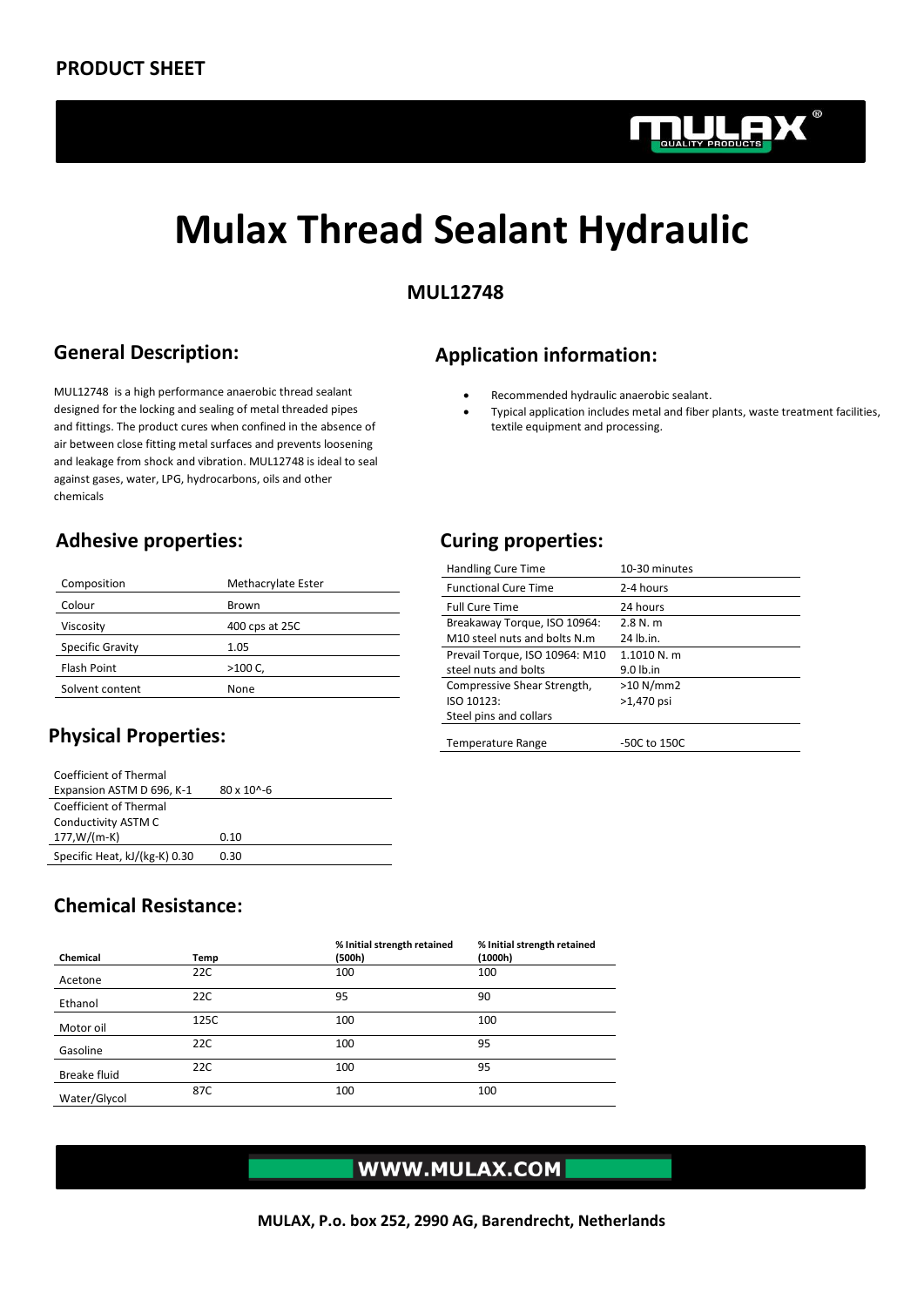

# **Mulax Thread Sealant Hydraulic**

#### **MUL12748**

# **General Description:**

MUL12748 is a high performance anaerobic thread sealant designed for the locking and sealing of metal threaded pipes and fittings. The product cures when confined in the absence of air between close fitting metal surfaces and prevents loosening and leakage from shock and vibration. MUL12748 is ideal to seal against gases, water, LPG, hydrocarbons, oils and other chemicals

#### **Adhesive properties: Curing properties:**

| Composition        | Methacrylate Ester |
|--------------------|--------------------|
| Colour             | Brown              |
| Viscosity          | 400 cps at 25C     |
| Specific Gravity   | 1.05               |
| <b>Flash Point</b> | $>100 C$ .         |
| Solvent content    | None               |
|                    |                    |

# **Physical Properties:**

| Coefficient of Thermal        |                        |
|-------------------------------|------------------------|
| Expansion ASTM D 696, K-1     | $80 \times 10^{6} - 6$ |
| Coefficient of Thermal        |                        |
| Conductivity ASTM C           |                        |
| $177.W/(m-K)$                 | 0.10                   |
| Specific Heat, kJ/(kg-K) 0.30 | 0.30                   |

# **Application information:**

- Recommended hydraulic anaerobic sealant.
- Typical application includes metal and fiber plants, waste treatment facilities, textile equipment and processing.

| <b>Handling Cure Time</b>      | 10-30 minutes |
|--------------------------------|---------------|
| <b>Functional Cure Time</b>    | 2-4 hours     |
| <b>Full Cure Time</b>          | 24 hours      |
| Breakaway Torque, ISO 10964:   | 2.8 N. m      |
| M10 steel nuts and bolts N.m.  | 24 lb.in.     |
| Prevail Torque, ISO 10964: M10 | 1.1010 N. m   |
| steel nuts and bolts           | $9.0$ lb.in   |
| Compressive Shear Strength,    | >10 N/mm2     |
| ISO 10123:                     | $>1,470$ psi  |
| Steel pins and collars         |               |
| <b>Temperature Range</b>       | -50C to 150C  |

#### **Chemical Resistance:**

| Chemical     | Temp | % Initial strength retained<br>(500h) | % Initial strength retained<br>(1000h) |
|--------------|------|---------------------------------------|----------------------------------------|
| Acetone      | 22C  | 100                                   | 100                                    |
| Ethanol      | 22C  | 95                                    | 90                                     |
| Motor oil    | 125C | 100                                   | 100                                    |
| Gasoline     | 22C  | 100                                   | 95                                     |
| Breake fluid | 22C  | 100                                   | 95                                     |
| Water/Glycol | 87C  | 100                                   | 100                                    |

# WWW.MULAX.COM